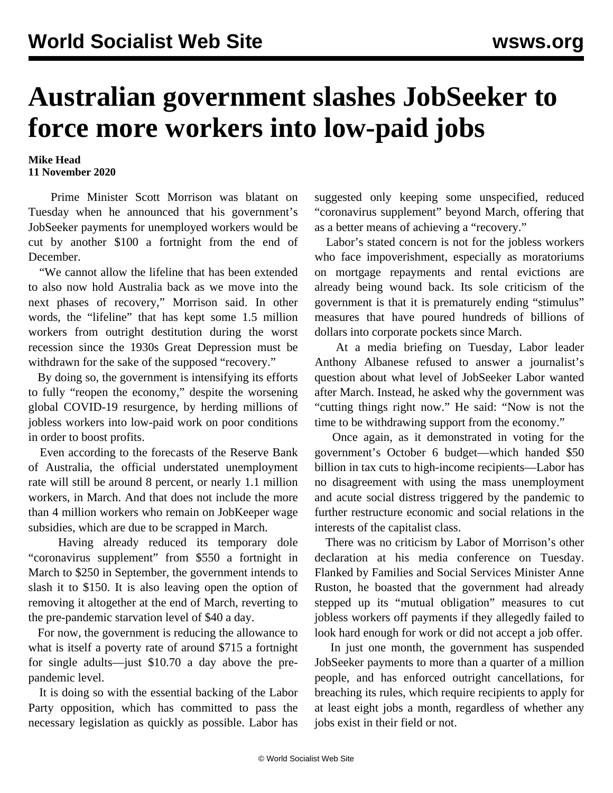## **Australian government slashes JobSeeker to force more workers into low-paid jobs**

## **Mike Head 11 November 2020**

 Prime Minister Scott Morrison was blatant on Tuesday when he announced that his government's JobSeeker payments for unemployed workers would be cut by another \$100 a fortnight from the end of December.

 "We cannot allow the lifeline that has been extended to also now hold Australia back as we move into the next phases of recovery," Morrison said. In other words, the "lifeline" that has kept some 1.5 million workers from outright destitution during the worst recession since the 1930s Great Depression must be withdrawn for the sake of the supposed "recovery."

 By doing so, the government is intensifying its efforts to fully "reopen the economy," despite the worsening global COVID-19 resurgence, by herding millions of jobless workers into low-paid work on poor conditions in order to boost profits.

 Even according to the forecasts of the Reserve Bank of Australia, the official understated unemployment rate will still be around 8 percent, or nearly 1.1 million workers, in March. And that does not include the more than 4 million workers who remain on JobKeeper wage subsidies, which are due to be scrapped in March.

 Having already reduced its temporary dole "coronavirus supplement" from \$550 a fortnight in March to \$250 in September, the government intends to slash it to \$150. It is also leaving open the option of removing it altogether at the end of March, reverting to the pre-pandemic starvation level of \$40 a day.

 For now, the government is reducing the allowance to what is itself a poverty rate of around \$715 a fortnight for single adults—just \$10.70 a day above the prepandemic level.

 It is doing so with the essential backing of the Labor Party opposition, which has committed to pass the necessary legislation as quickly as possible. Labor has suggested only keeping some unspecified, reduced "coronavirus supplement" beyond March, offering that as a better means of achieving a "recovery."

 Labor's stated concern is not for the jobless workers who face impoverishment, especially as moratoriums on mortgage repayments and rental evictions are already being wound back. Its sole criticism of the government is that it is prematurely ending "stimulus" measures that have poured hundreds of billions of dollars into corporate pockets since March.

 At a media briefing on Tuesday, Labor leader Anthony Albanese refused to answer a journalist's question about what level of JobSeeker Labor wanted after March. Instead, he asked why the government was "cutting things right now." He said: "Now is not the time to be withdrawing support from the economy."

 Once again, as it demonstrated in voting for the government's October 6 budget—which handed \$50 billion in tax cuts to high-income recipients—Labor has no disagreement with using the mass unemployment and acute social distress triggered by the pandemic to further restructure economic and social relations in the interests of the capitalist class.

 There was no criticism by Labor of Morrison's other declaration at his media conference on Tuesday. Flanked by Families and Social Services Minister Anne Ruston, he boasted that the government had already stepped up its "mutual obligation" measures to cut jobless workers off payments if they allegedly failed to look hard enough for work or did not accept a job offer.

 In just one month, the government has suspended JobSeeker payments to more than a quarter of a million people, and has enforced outright cancellations, for breaching its rules, which require recipients to apply for at least eight jobs a month, regardless of whether any jobs exist in their field or not.